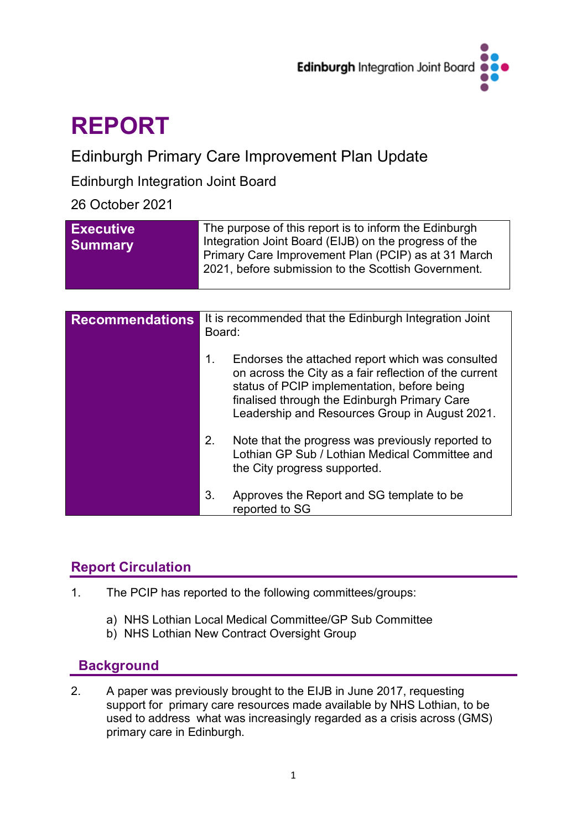

# **REPORT**

# Edinburgh Primary Care Improvement Plan Update

# Edinburgh Integration Joint Board

# 26 October 2021

| <b>Executive</b><br><b>Summary</b> | The purpose of this report is to inform the Edinburgh<br>Integration Joint Board (EIJB) on the progress of the<br>Primary Care Improvement Plan (PCIP) as at 31 March<br>2021, before submission to the Scottish Government. |
|------------------------------------|------------------------------------------------------------------------------------------------------------------------------------------------------------------------------------------------------------------------------|
|                                    |                                                                                                                                                                                                                              |
| <b>Recommendations</b>             | It is recommended that the Edinburgh Integration Joint                                                                                                                                                                       |

| <b>NECULILIIEIIUALIUIIS</b> | it is recommended that the Edimodign integration comt<br>Board:                                                                                                                                                                                                   |  |  |  |
|-----------------------------|-------------------------------------------------------------------------------------------------------------------------------------------------------------------------------------------------------------------------------------------------------------------|--|--|--|
|                             | Endorses the attached report which was consulted<br>1.<br>on across the City as a fair reflection of the current<br>status of PCIP implementation, before being<br>finalised through the Edinburgh Primary Care<br>Leadership and Resources Group in August 2021. |  |  |  |
|                             | 2.<br>Note that the progress was previously reported to<br>Lothian GP Sub / Lothian Medical Committee and<br>the City progress supported.                                                                                                                         |  |  |  |
|                             | 3.<br>Approves the Report and SG template to be<br>reported to SG                                                                                                                                                                                                 |  |  |  |

# **Report Circulation**

- 1. The PCIP has reported to the following committees/groups:
	- a) NHS Lothian Local Medical Committee/GP Sub Committee
	- b) NHS Lothian New Contract Oversight Group

# **Background**

2. A paper was previously brought to the EIJB in June 2017, requesting support for primary care resources made available by NHS Lothian, to be used to address what was increasingly regarded as a crisis across (GMS) primary care in Edinburgh.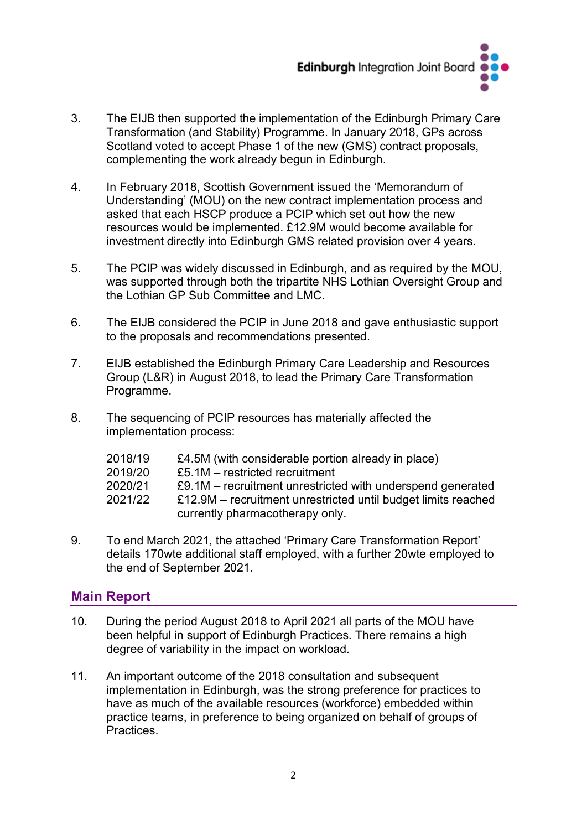

- 3. The EIJB then supported the implementation of the Edinburgh Primary Care Transformation (and Stability) Programme. In January 2018, GPs across Scotland voted to accept Phase 1 of the new (GMS) contract proposals, complementing the work already begun in Edinburgh.
- 4. In February 2018, Scottish Government issued the 'Memorandum of Understanding' (MOU) on the new contract implementation process and asked that each HSCP produce a PCIP which set out how the new resources would be implemented. £12.9M would become available for investment directly into Edinburgh GMS related provision over 4 years.
- 5. The PCIP was widely discussed in Edinburgh, and as required by the MOU, was supported through both the tripartite NHS Lothian Oversight Group and the Lothian GP Sub Committee and LMC.
- 6. The EIJB considered the PCIP in June 2018 and gave enthusiastic support to the proposals and recommendations presented.
- 7. EIJB established the Edinburgh Primary Care Leadership and Resources Group (L&R) in August 2018, to lead the Primary Care Transformation Programme.
- 8. The sequencing of PCIP resources has materially affected the implementation process:

| 2018/19 | £4.5M (with considerable portion already in place)            |
|---------|---------------------------------------------------------------|
| 2019/20 | £5.1M – restricted recruitment                                |
| 2020/21 | £9.1M – recruitment unrestricted with underspend generated    |
| 2021/22 | £12.9M – recruitment unrestricted until budget limits reached |
|         | currently pharmacotherapy only.                               |

9. To end March 2021, the attached 'Primary Care Transformation Report' details 170wte additional staff employed, with a further 20wte employed to the end of September 2021.

# **Main Report**

- 10. During the period August 2018 to April 2021 all parts of the MOU have been helpful in support of Edinburgh Practices. There remains a high degree of variability in the impact on workload.
- 11. An important outcome of the 2018 consultation and subsequent implementation in Edinburgh, was the strong preference for practices to have as much of the available resources (workforce) embedded within practice teams, in preference to being organized on behalf of groups of **Practices**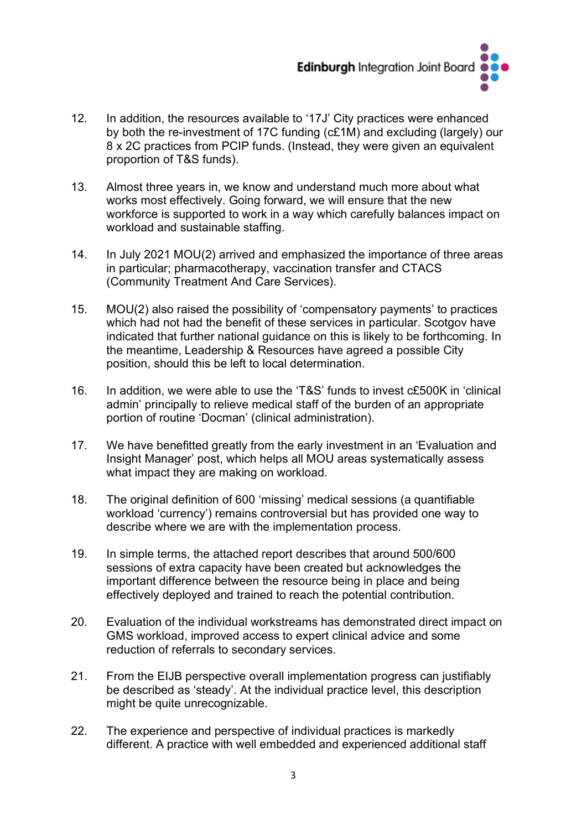

- 12. In addition, the resources available to '17J' City practices were enhanced by both the re-investment of 17C funding (c£1M) and excluding (largely) our 8 x 2C practices from PCIP funds. (Instead, they were given an equivalent proportion of T&S funds).
- 13. Almost three years in, we know and understand much more about what works most effectively. Going forward, we will ensure that the new workforce is supported to work in a way which carefully balances impact on workload and sustainable staffing.
- 14. In July 2021 MOU(2) arrived and emphasized the importance of three areas in particular; pharmacotherapy, vaccination transfer and CTACS (Community Treatment And Care Services).
- 15. MOU(2) also raised the possibility of 'compensatory payments' to practices which had not had the benefit of these services in particular. Scotgov have indicated that further national guidance on this is likely to be forthcoming. In the meantime, Leadership & Resources have agreed a possible City position, should this be left to local determination.
- 16. In addition, we were able to use the 'T&S' funds to invest c£500K in 'clinical admin' principally to relieve medical staff of the burden of an appropriate portion of routine 'Docman' (clinical administration).
- 17. We have benefitted greatly from the early investment in an 'Evaluation and Insight Manager' post, which helps all MOU areas systematically assess what impact they are making on workload.
- 18. The original definition of 600 'missing' medical sessions (a quantifiable workload 'currency') remains controversial but has provided one way to describe where we are with the implementation process.
- 19. In simple terms, the attached report describes that around 500/600 sessions of extra capacity have been created but acknowledges the important difference between the resource being in place and being effectively deployed and trained to reach the potential contribution.
- 20. Evaluation of the individual workstreams has demonstrated direct impact on GMS workload, improved access to expert clinical advice and some reduction of referrals to secondary services.
- 21. From the EIJB perspective overall implementation progress can justifiably be described as 'steady'. At the individual practice level, this description might be quite unrecognizable.
- 22. The experience and perspective of individual practices is markedly different. A practice with well embedded and experienced additional staff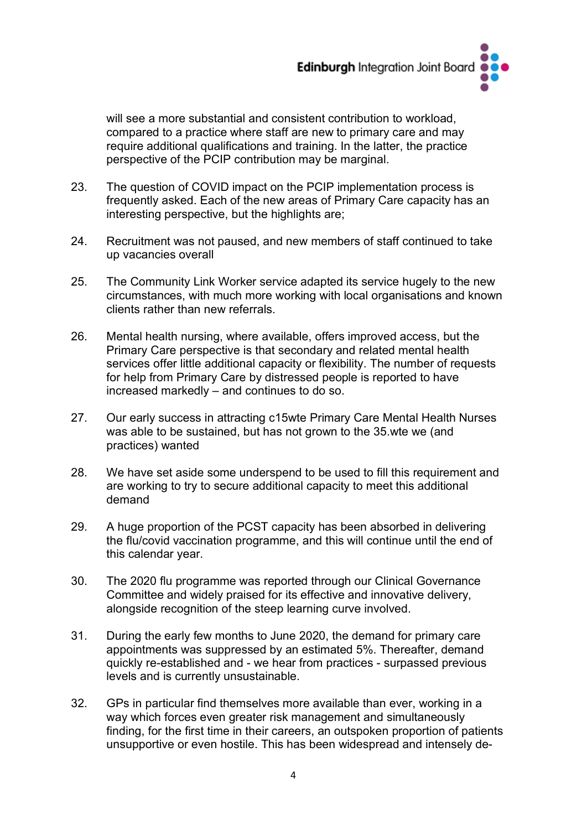

will see a more substantial and consistent contribution to workload. compared to a practice where staff are new to primary care and may require additional qualifications and training. In the latter, the practice perspective of the PCIP contribution may be marginal.

- 23. The question of COVID impact on the PCIP implementation process is frequently asked. Each of the new areas of Primary Care capacity has an interesting perspective, but the highlights are;
- 24. Recruitment was not paused, and new members of staff continued to take up vacancies overall
- 25. The Community Link Worker service adapted its service hugely to the new circumstances, with much more working with local organisations and known clients rather than new referrals.
- 26. Mental health nursing, where available, offers improved access, but the Primary Care perspective is that secondary and related mental health services offer little additional capacity or flexibility. The number of requests for help from Primary Care by distressed people is reported to have increased markedly – and continues to do so.
- 27. Our early success in attracting c15wte Primary Care Mental Health Nurses was able to be sustained, but has not grown to the 35.wte we (and practices) wanted
- 28. We have set aside some underspend to be used to fill this requirement and are working to try to secure additional capacity to meet this additional demand
- 29. A huge proportion of the PCST capacity has been absorbed in delivering the flu/covid vaccination programme, and this will continue until the end of this calendar year.
- 30. The 2020 flu programme was reported through our Clinical Governance Committee and widely praised for its effective and innovative delivery, alongside recognition of the steep learning curve involved.
- 31. During the early few months to June 2020, the demand for primary care appointments was suppressed by an estimated 5%. Thereafter, demand quickly re-established and - we hear from practices - surpassed previous levels and is currently unsustainable.
- 32. GPs in particular find themselves more available than ever, working in a way which forces even greater risk management and simultaneously finding, for the first time in their careers, an outspoken proportion of patients unsupportive or even hostile. This has been widespread and intensely de-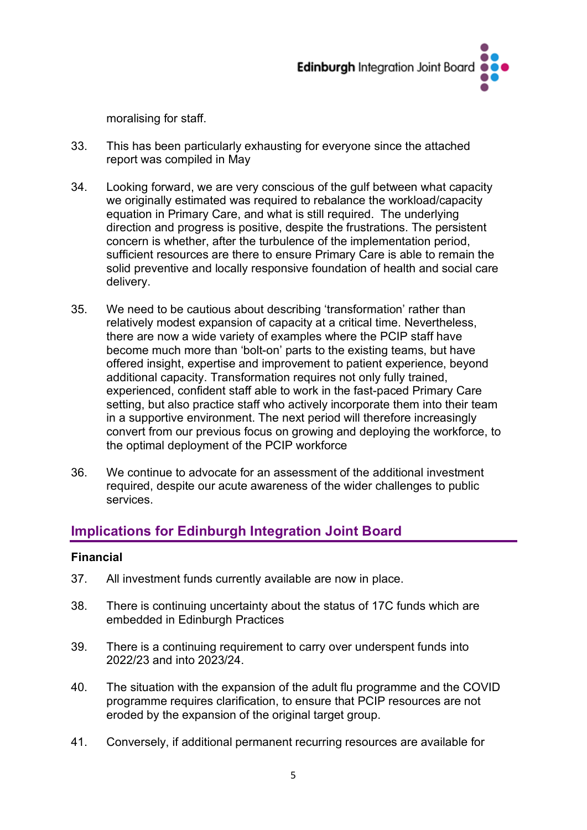

moralising for staff.

- 33. This has been particularly exhausting for everyone since the attached report was compiled in May
- 34. Looking forward, we are very conscious of the gulf between what capacity we originally estimated was required to rebalance the workload/capacity equation in Primary Care, and what is still required. The underlying direction and progress is positive, despite the frustrations. The persistent concern is whether, after the turbulence of the implementation period, sufficient resources are there to ensure Primary Care is able to remain the solid preventive and locally responsive foundation of health and social care delivery.
- 35. We need to be cautious about describing 'transformation' rather than relatively modest expansion of capacity at a critical time. Nevertheless, there are now a wide variety of examples where the PCIP staff have become much more than 'bolt-on' parts to the existing teams, but have offered insight, expertise and improvement to patient experience, beyond additional capacity. Transformation requires not only fully trained, experienced, confident staff able to work in the fast-paced Primary Care setting, but also practice staff who actively incorporate them into their team in a supportive environment. The next period will therefore increasingly convert from our previous focus on growing and deploying the workforce, to the optimal deployment of the PCIP workforce
- 36. We continue to advocate for an assessment of the additional investment required, despite our acute awareness of the wider challenges to public services.

# **Implications for Edinburgh Integration Joint Board**

# **Financial**

- 37. All investment funds currently available are now in place.
- 38. There is continuing uncertainty about the status of 17C funds which are embedded in Edinburgh Practices
- 39. There is a continuing requirement to carry over underspent funds into 2022/23 and into 2023/24.
- 40. The situation with the expansion of the adult flu programme and the COVID programme requires clarification, to ensure that PCIP resources are not eroded by the expansion of the original target group.
- 41. Conversely, if additional permanent recurring resources are available for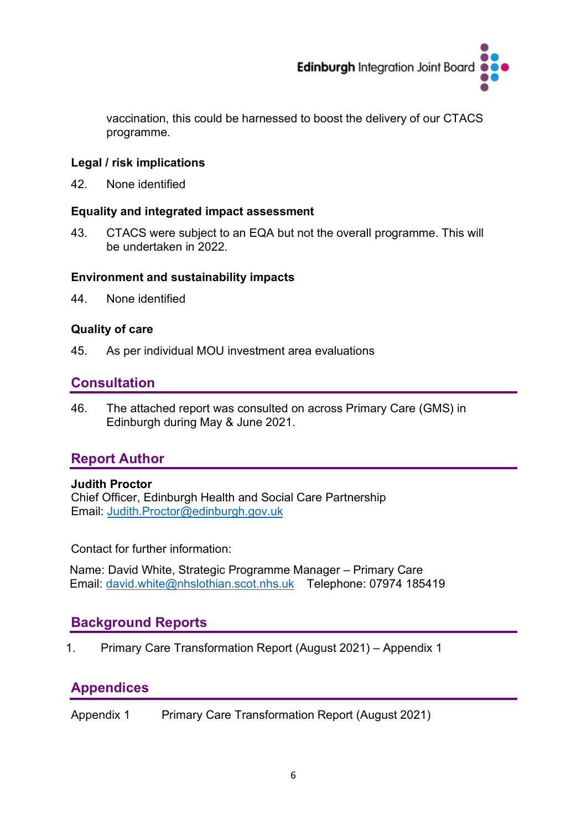

vaccination, this could be harnessed to boost the delivery of our CTACS programme.

# **Legal / risk implications**

42. None identified

# **Equality and integrated impact assessment**

43. CTACS were subject to an EQA but not the overall programme. This will be undertaken in 2022.

## **Environment and sustainability impacts**

44. None identified

## **Quality of care**

45. As per individual MOU investment area evaluations

# **Consultation**

46. The attached report was consulted on across Primary Care (GMS) in Edinburgh during May & June 2021.

# **Report Author**

## **Judith Proctor**

Chief Officer, Edinburgh Health and Social Care Partnership Email: [Judith.Proctor@edinburgh.gov.uk](mailto:Judith.Proctor@edinburgh.gov.uk) 

Contact for further information:

Name: David White, Strategic Programme Manager – Primary Care Email: [david.white@nhslothian.scot.nhs.uk](mailto:david.white@nhslothian.scot.nhs.uk) Telephone: 07974 185419

# **Background Reports**

1. Primary Care Transformation Report (August 2021) – Appendix 1

# **Appendices**

Appendix 1 Primary Care Transformation Report (August 2021)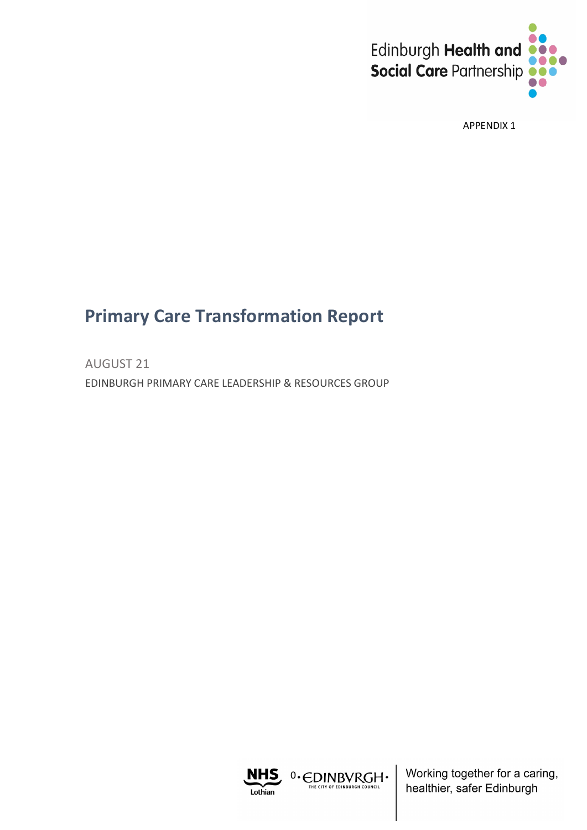

APPENDIX 1

# **Primary Care Transformation Report**

AUGUST 21 EDINBURGH PRIMARY CARE LEADERSHIP & RESOURCES GROUP



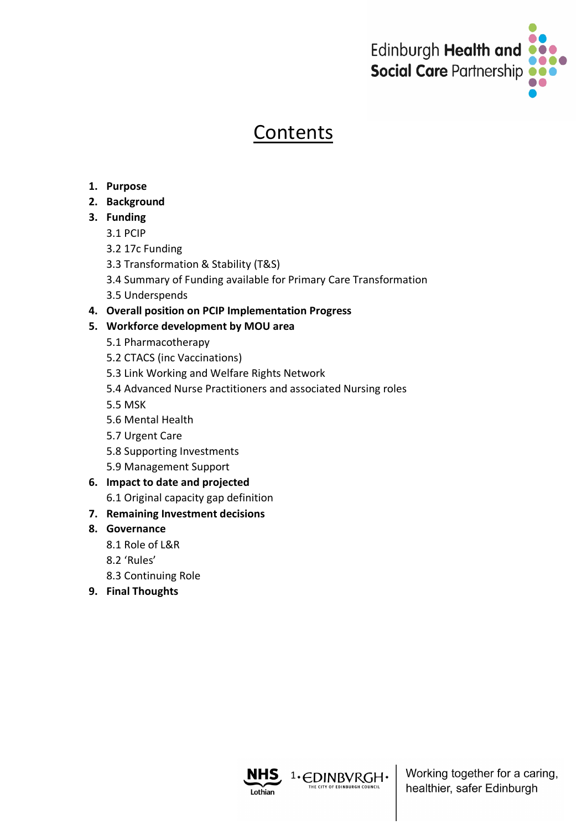

# **Contents**

- **1. Purpose**
- **2. Background**
- **3. Funding**
	- 3.1 PCIP
	- 3.2 17c Funding
	- 3.3 Transformation & Stability (T&S)
	- 3.4 Summary of Funding available for Primary Care Transformation
	- 3.5 Underspends
- **4. Overall position on PCIP Implementation Progress**

# **5. Workforce development by MOU area**

- 5.1 Pharmacotherapy
- 5.2 CTACS (inc Vaccinations)
- 5.3 Link Working and Welfare Rights Network
- 5.4 Advanced Nurse Practitioners and associated Nursing roles
- 5.5 MSK
- 5.6 Mental Health
- 5.7 Urgent Care
- 5.8 Supporting Investments
- 5.9 Management Support

# **6. Impact to date and projected**

6.1 Original capacity gap definition

# **7. Remaining Investment decisions**

# **8. Governance**

- 8.1 Role of L&R
- 8.2 'Rules'
- 8.3 Continuing Role
- **9. Final Thoughts**



<sup>1</sup>· EDINBVRGH ·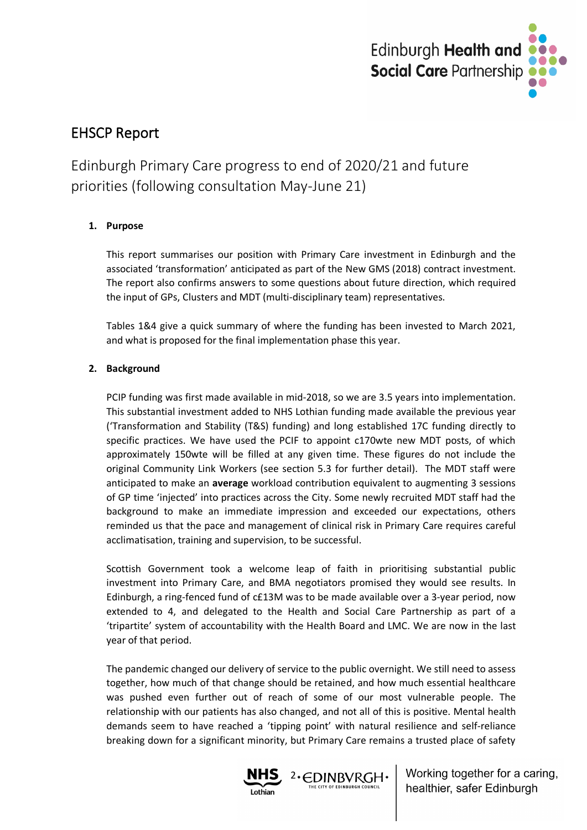

# EHSCP Report

Edinburgh Primary Care progress to end of 2020/21 and future priorities (following consultation May-June 21)

### **1. Purpose**

This report summarises our position with Primary Care investment in Edinburgh and the associated 'transformation' anticipated as part of the New GMS (2018) contract investment. The report also confirms answers to some questions about future direction, which required the input of GPs, Clusters and MDT (multi-disciplinary team) representatives.

Tables 1&4 give a quick summary of where the funding has been invested to March 2021, and what is proposed for the final implementation phase this year.

### **2. Background**

PCIP funding was first made available in mid-2018, so we are 3.5 years into implementation. This substantial investment added to NHS Lothian funding made available the previous year ('Transformation and Stability (T&S) funding) and long established 17C funding directly to specific practices. We have used the PCIF to appoint c170wte new MDT posts, of which approximately 150wte will be filled at any given time. These figures do not include the original Community Link Workers (see section 5.3 for further detail). The MDT staff were anticipated to make an **average** workload contribution equivalent to augmenting 3 sessions of GP time 'injected' into practices across the City. Some newly recruited MDT staff had the background to make an immediate impression and exceeded our expectations, others reminded us that the pace and management of clinical risk in Primary Care requires careful acclimatisation, training and supervision, to be successful.

Scottish Government took a welcome leap of faith in prioritising substantial public investment into Primary Care, and BMA negotiators promised they would see results. In Edinburgh, a ring-fenced fund of c£13M was to be made available over a 3-year period, now extended to 4, and delegated to the Health and Social Care Partnership as part of a 'tripartite' system of accountability with the Health Board and LMC. We are now in the last year of that period.

The pandemic changed our delivery of service to the public overnight. We still need to assess together, how much of that change should be retained, and how much essential healthcare was pushed even further out of reach of some of our most vulnerable people. The relationship with our patients has also changed, and not all of this is positive. Mental health demands seem to have reached a 'tipping point' with natural resilience and self-reliance breaking down for a significant minority, but Primary Care remains a trusted place of safety

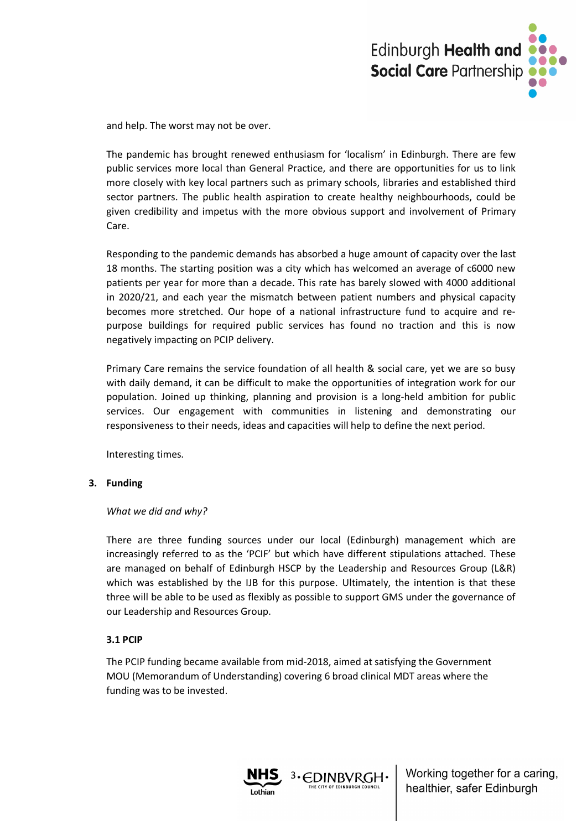

and help. The worst may not be over.

The pandemic has brought renewed enthusiasm for 'localism' in Edinburgh. There are few public services more local than General Practice, and there are opportunities for us to link more closely with key local partners such as primary schools, libraries and established third sector partners. The public health aspiration to create healthy neighbourhoods, could be given credibility and impetus with the more obvious support and involvement of Primary Care.

Responding to the pandemic demands has absorbed a huge amount of capacity over the last 18 months. The starting position was a city which has welcomed an average of c6000 new patients per year for more than a decade. This rate has barely slowed with 4000 additional in 2020/21, and each year the mismatch between patient numbers and physical capacity becomes more stretched. Our hope of a national infrastructure fund to acquire and repurpose buildings for required public services has found no traction and this is now negatively impacting on PCIP delivery.

Primary Care remains the service foundation of all health & social care, yet we are so busy with daily demand, it can be difficult to make the opportunities of integration work for our population. Joined up thinking, planning and provision is a long-held ambition for public services. Our engagement with communities in listening and demonstrating our responsiveness to their needs, ideas and capacities will help to define the next period.

Interesting times.

#### **3. Funding**

#### *What we did and why?*

There are three funding sources under our local (Edinburgh) management which are increasingly referred to as the 'PCIF' but which have different stipulations attached. These are managed on behalf of Edinburgh HSCP by the Leadership and Resources Group (L&R) which was established by the IJB for this purpose. Ultimately, the intention is that these three will be able to be used as flexibly as possible to support GMS under the governance of our Leadership and Resources Group.

#### **3.1 PCIP**

The PCIP funding became available from mid-2018, aimed at satisfying the Government MOU (Memorandum of Understanding) covering 6 broad clinical MDT areas where the funding was to be invested.

3. EDINBVRGH.

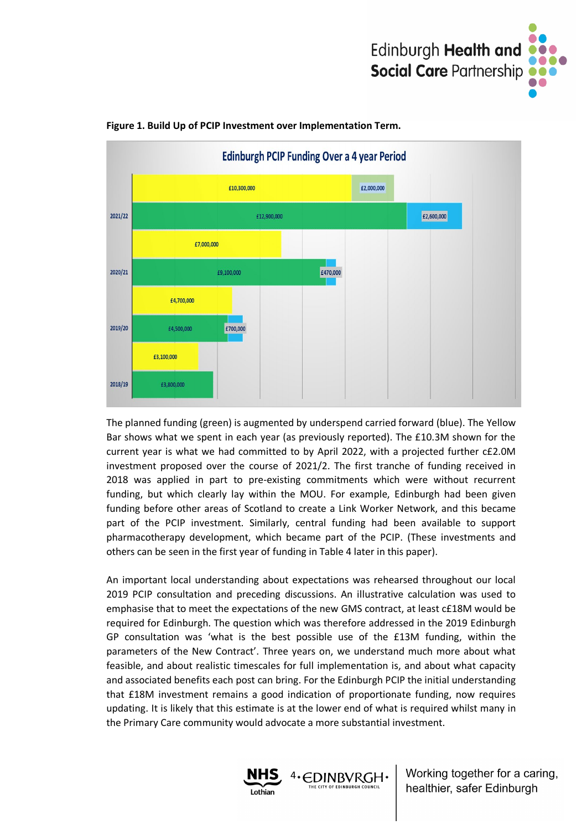



#### **Figure 1. Build Up of PCIP Investment over Implementation Term.**

The planned funding (green) is augmented by underspend carried forward (blue). The Yellow Bar shows what we spent in each year (as previously reported). The £10.3M shown for the current year is what we had committed to by April 2022, with a projected further c£2.0M investment proposed over the course of 2021/2. The first tranche of funding received in 2018 was applied in part to pre-existing commitments which were without recurrent funding, but which clearly lay within the MOU. For example, Edinburgh had been given funding before other areas of Scotland to create a Link Worker Network, and this became part of the PCIP investment. Similarly, central funding had been available to support pharmacotherapy development, which became part of the PCIP. (These investments and others can be seen in the first year of funding in Table 4 later in this paper).

An important local understanding about expectations was rehearsed throughout our local 2019 PCIP consultation and preceding discussions. An illustrative calculation was used to emphasise that to meet the expectations of the new GMS contract, at least c£18M would be required for Edinburgh. The question which was therefore addressed in the 2019 Edinburgh GP consultation was 'what is the best possible use of the £13M funding, within the parameters of the New Contract'. Three years on, we understand much more about what feasible, and about realistic timescales for full implementation is, and about what capacity and associated benefits each post can bring. For the Edinburgh PCIP the initial understanding that £18M investment remains a good indication of proportionate funding, now requires updating. It is likely that this estimate is at the lower end of what is required whilst many in the Primary Care community would advocate a more substantial investment.

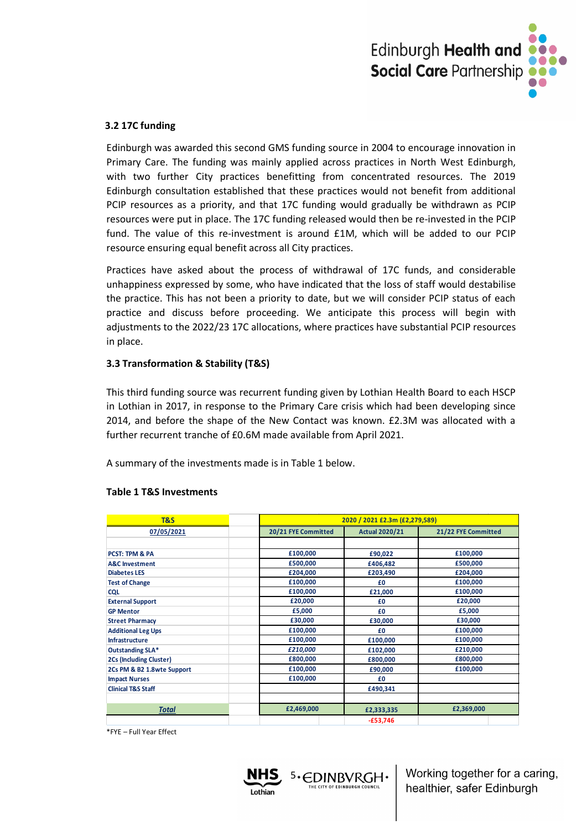

#### **3.2 17C funding**

Edinburgh was awarded this second GMS funding source in 2004 to encourage innovation in Primary Care. The funding was mainly applied across practices in North West Edinburgh, with two further City practices benefitting from concentrated resources. The 2019 Edinburgh consultation established that these practices would not benefit from additional PCIP resources as a priority, and that 17C funding would gradually be withdrawn as PCIP resources were put in place. The 17C funding released would then be re-invested in the PCIP fund. The value of this re-investment is around £1M, which will be added to our PCIP resource ensuring equal benefit across all City practices.

Practices have asked about the process of withdrawal of 17C funds, and considerable unhappiness expressed by some, who have indicated that the loss of staff would destabilise the practice. This has not been a priority to date, but we will consider PCIP status of each practice and discuss before proceeding. We anticipate this process will begin with adjustments to the 2022/23 17C allocations, where practices have substantial PCIP resources in place.

#### **3.3 Transformation & Stability (T&S)**

This third funding source was recurrent funding given by Lothian Health Board to each HSCP in Lothian in 2017, in response to the Primary Care crisis which had been developing since 2014, and before the shape of the New Contact was known. £2.3M was allocated with a further recurrent tranche of £0.6M made available from April 2021.

A summary of the investments made is in Table 1 below.

| T&S                            |                     | 2020 / 2021 £2.3m (£2,279,589) |                     |  |  |  |
|--------------------------------|---------------------|--------------------------------|---------------------|--|--|--|
| 07/05/2021                     | 20/21 FYE Committed | <b>Actual 2020/21</b>          | 21/22 FYE Committed |  |  |  |
|                                |                     |                                |                     |  |  |  |
| <b>PCST: TPM &amp; PA</b>      | £100,000            | £90,022                        | £100,000            |  |  |  |
| <b>A&amp;C</b> Investment      | £500,000            | £406,482                       | £500,000            |  |  |  |
| <b>Diabetes LES</b>            | £204,000            | £203,490                       | £204,000            |  |  |  |
| <b>Test of Change</b>          | £100,000            | £0                             | £100,000            |  |  |  |
| <b>CQL</b>                     | £100,000            | £21,000                        | £100,000            |  |  |  |
| <b>External Support</b>        | £20,000             | £0                             | £20,000             |  |  |  |
| <b>GP Mentor</b>               | £5,000              | £0                             | £5,000              |  |  |  |
| <b>Street Pharmacy</b>         | £30,000             | £30,000                        | £30,000             |  |  |  |
| <b>Additional Leg Ups</b>      | £100,000            | £0                             | £100,000            |  |  |  |
| <b>Infrastructure</b>          | £100,000            | £100,000                       | £100,000            |  |  |  |
| Outstanding SLA*               | £210,000            | £102,000                       | £210,000            |  |  |  |
| <b>2Cs (Including Cluster)</b> | £800,000            | £800,000                       | £800,000            |  |  |  |
| 2Cs PM & B2 1.8wte Support     | £100,000            | £90,000                        | £100,000            |  |  |  |
| <b>Impact Nurses</b>           | £100,000            | £0                             |                     |  |  |  |
| <b>Clinical T&amp;S Staff</b>  |                     | £490,341                       |                     |  |  |  |
|                                |                     |                                |                     |  |  |  |
| <b>Total</b>                   | £2,469,000          | £2,333,335                     | £2,369,000          |  |  |  |
|                                |                     | $-£53,746$                     |                     |  |  |  |

5. EDINBVRGH.

#### **Table 1 T&S Investments**

\*FYE – Full Year Effect

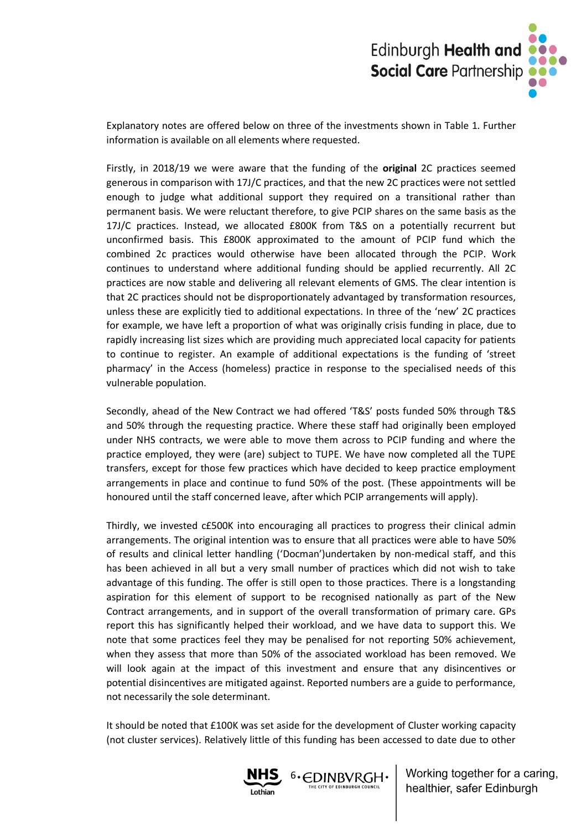

Explanatory notes are offered below on three of the investments shown in Table 1. Further information is available on all elements where requested.

Firstly, in 2018/19 we were aware that the funding of the **original** 2C practices seemed generous in comparison with 17J/C practices, and that the new 2C practices were not settled enough to judge what additional support they required on a transitional rather than permanent basis. We were reluctant therefore, to give PCIP shares on the same basis as the 17J/C practices. Instead, we allocated £800K from T&S on a potentially recurrent but unconfirmed basis. This £800K approximated to the amount of PCIP fund which the combined 2c practices would otherwise have been allocated through the PCIP. Work continues to understand where additional funding should be applied recurrently. All 2C practices are now stable and delivering all relevant elements of GMS. The clear intention is that 2C practices should not be disproportionately advantaged by transformation resources, unless these are explicitly tied to additional expectations. In three of the 'new' 2C practices for example, we have left a proportion of what was originally crisis funding in place, due to rapidly increasing list sizes which are providing much appreciated local capacity for patients to continue to register. An example of additional expectations is the funding of 'street pharmacy' in the Access (homeless) practice in response to the specialised needs of this vulnerable population.

Secondly, ahead of the New Contract we had offered 'T&S' posts funded 50% through T&S and 50% through the requesting practice. Where these staff had originally been employed under NHS contracts, we were able to move them across to PCIP funding and where the practice employed, they were (are) subject to TUPE. We have now completed all the TUPE transfers, except for those few practices which have decided to keep practice employment arrangements in place and continue to fund 50% of the post. (These appointments will be honoured until the staff concerned leave, after which PCIP arrangements will apply).

Thirdly, we invested c£500K into encouraging all practices to progress their clinical admin arrangements. The original intention was to ensure that all practices were able to have 50% of results and clinical letter handling ('Docman')undertaken by non-medical staff, and this has been achieved in all but a very small number of practices which did not wish to take advantage of this funding. The offer is still open to those practices. There is a longstanding aspiration for this element of support to be recognised nationally as part of the New Contract arrangements, and in support of the overall transformation of primary care. GPs report this has significantly helped their workload, and we have data to support this. We note that some practices feel they may be penalised for not reporting 50% achievement, when they assess that more than 50% of the associated workload has been removed. We will look again at the impact of this investment and ensure that any disincentives or potential disincentives are mitigated against. Reported numbers are a guide to performance, not necessarily the sole determinant.

It should be noted that £100K was set aside for the development of Cluster working capacity (not cluster services). Relatively little of this funding has been accessed to date due to other

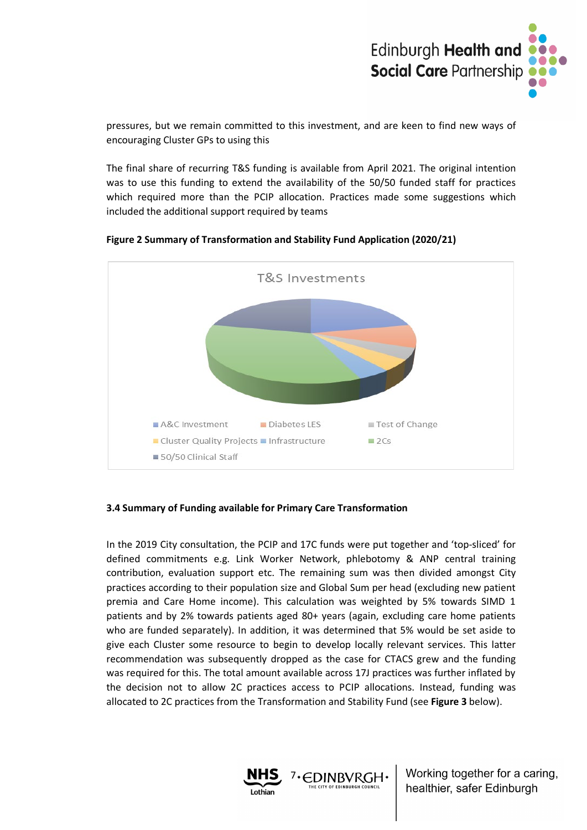

pressures, but we remain committed to this investment, and are keen to find new ways of encouraging Cluster GPs to using this

The final share of recurring T&S funding is available from April 2021. The original intention was to use this funding to extend the availability of the 50/50 funded staff for practices which required more than the PCIP allocation. Practices made some suggestions which included the additional support required by teams





#### **3.4 Summary of Funding available for Primary Care Transformation**

In the 2019 City consultation, the PCIP and 17C funds were put together and 'top-sliced' for defined commitments e.g. Link Worker Network, phlebotomy & ANP central training contribution, evaluation support etc. The remaining sum was then divided amongst City practices according to their population size and Global Sum per head (excluding new patient premia and Care Home income). This calculation was weighted by 5% towards SIMD 1 patients and by 2% towards patients aged 80+ years (again, excluding care home patients who are funded separately). In addition, it was determined that 5% would be set aside to give each Cluster some resource to begin to develop locally relevant services. This latter recommendation was subsequently dropped as the case for CTACS grew and the funding was required for this. The total amount available across 17J practices was further inflated by the decision not to allow 2C practices access to PCIP allocations. Instead, funding was allocated to 2C practices from the Transformation and Stability Fund (see **Figure 3** below).

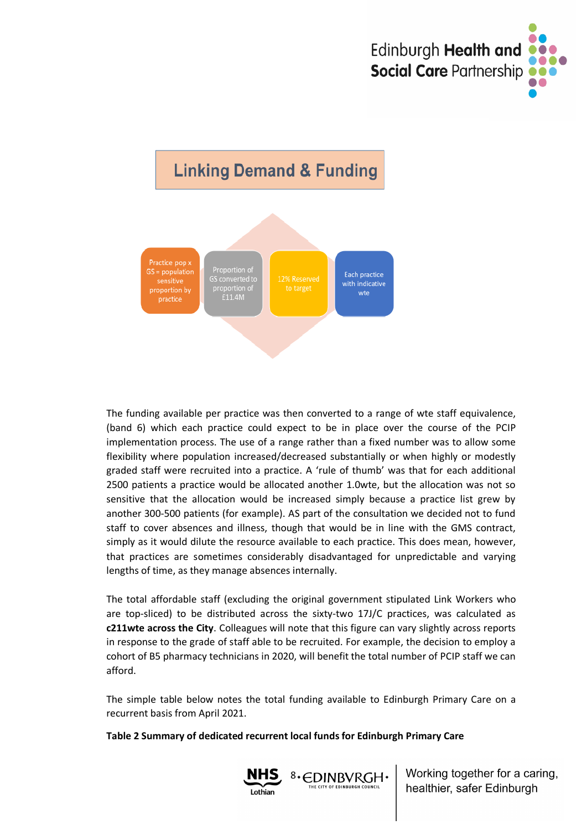



The funding available per practice was then converted to a range of wte staff equivalence, (band 6) which each practice could expect to be in place over the course of the PCIP implementation process. The use of a range rather than a fixed number was to allow some flexibility where population increased/decreased substantially or when highly or modestly graded staff were recruited into a practice. A 'rule of thumb' was that for each additional 2500 patients a practice would be allocated another 1.0wte, but the allocation was not so sensitive that the allocation would be increased simply because a practice list grew by another 300-500 patients (for example). AS part of the consultation we decided not to fund staff to cover absences and illness, though that would be in line with the GMS contract, simply as it would dilute the resource available to each practice. This does mean, however, that practices are sometimes considerably disadvantaged for unpredictable and varying lengths of time, as they manage absences internally.

The total affordable staff (excluding the original government stipulated Link Workers who are top-sliced) to be distributed across the sixty-two 17J/C practices, was calculated as **c211wte across the City**. Colleagues will note that this figure can vary slightly across reports in response to the grade of staff able to be recruited. For example, the decision to employ a cohort of B5 pharmacy technicians in 2020, will benefit the total number of PCIP staff we can afford.

The simple table below notes the total funding available to Edinburgh Primary Care on a recurrent basis from April 2021.

**Table 2 Summary of dedicated recurrent local funds for Edinburgh Primary Care**

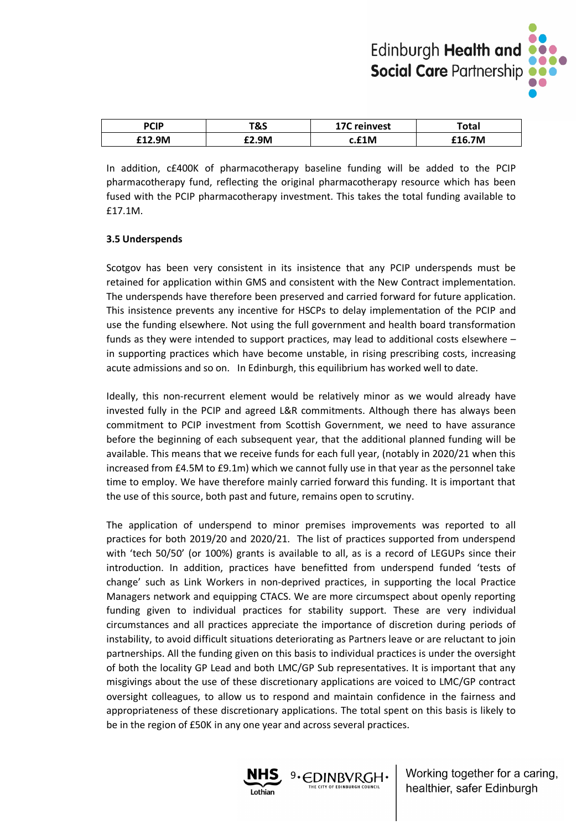

| <b>PCIP</b> | T&S   | <b>17C</b> reinvest | Total  |
|-------------|-------|---------------------|--------|
| 12.9M       | £2.9M | c.£1M               | .16.7M |

In addition, c£400K of pharmacotherapy baseline funding will be added to the PCIP pharmacotherapy fund, reflecting the original pharmacotherapy resource which has been fused with the PCIP pharmacotherapy investment. This takes the total funding available to £17.1M.

#### **3.5 Underspends**

Scotgov has been very consistent in its insistence that any PCIP underspends must be retained for application within GMS and consistent with the New Contract implementation. The underspends have therefore been preserved and carried forward for future application. This insistence prevents any incentive for HSCPs to delay implementation of the PCIP and use the funding elsewhere. Not using the full government and health board transformation funds as they were intended to support practices, may lead to additional costs elsewhere – in supporting practices which have become unstable, in rising prescribing costs, increasing acute admissions and so on. In Edinburgh, this equilibrium has worked well to date.

Ideally, this non-recurrent element would be relatively minor as we would already have invested fully in the PCIP and agreed L&R commitments. Although there has always been commitment to PCIP investment from Scottish Government, we need to have assurance before the beginning of each subsequent year, that the additional planned funding will be available. This means that we receive funds for each full year, (notably in 2020/21 when this increased from £4.5M to £9.1m) which we cannot fully use in that year as the personnel take time to employ. We have therefore mainly carried forward this funding. It is important that the use of this source, both past and future, remains open to scrutiny.

The application of underspend to minor premises improvements was reported to all practices for both 2019/20 and 2020/21. The list of practices supported from underspend with 'tech 50/50' (or 100%) grants is available to all, as is a record of LEGUPs since their introduction. In addition, practices have benefitted from underspend funded 'tests of change' such as Link Workers in non-deprived practices, in supporting the local Practice Managers network and equipping CTACS. We are more circumspect about openly reporting funding given to individual practices for stability support. These are very individual circumstances and all practices appreciate the importance of discretion during periods of instability, to avoid difficult situations deteriorating as Partners leave or are reluctant to join partnerships. All the funding given on this basis to individual practices is under the oversight of both the locality GP Lead and both LMC/GP Sub representatives. It is important that any misgivings about the use of these discretionary applications are voiced to LMC/GP contract oversight colleagues, to allow us to respond and maintain confidence in the fairness and appropriateness of these discretionary applications. The total spent on this basis is likely to be in the region of £50K in any one year and across several practices.

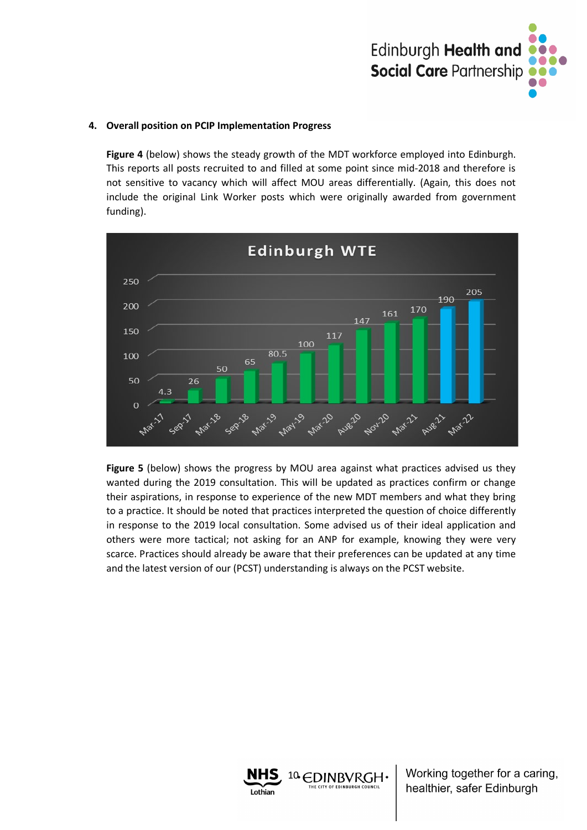

#### **4. Overall position on PCIP Implementation Progress**

**Figure 4** (below) shows the steady growth of the MDT workforce employed into Edinburgh. This reports all posts recruited to and filled at some point since mid-2018 and therefore is not sensitive to vacancy which will affect MOU areas differentially. (Again, this does not include the original Link Worker posts which were originally awarded from government funding).



**Figure 5** (below) shows the progress by MOU area against what practices advised us they wanted during the 2019 consultation. This will be updated as practices confirm or change their aspirations, in response to experience of the new MDT members and what they bring to a practice. It should be noted that practices interpreted the question of choice differently in response to the 2019 local consultation. Some advised us of their ideal application and others were more tactical; not asking for an ANP for example, knowing they were very scarce. Practices should already be aware that their preferences can be updated at any time and the latest version of our (PCST) understanding is always on the PCST website.

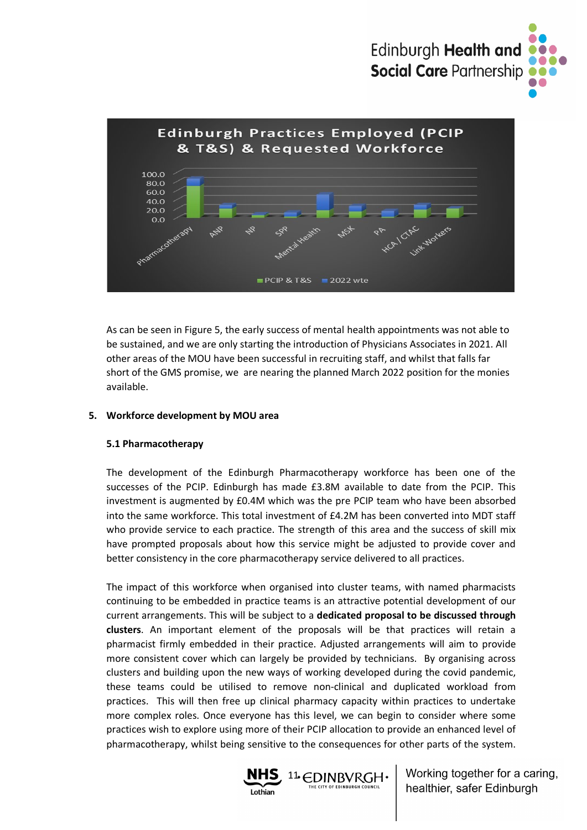



As can be seen in Figure 5, the early success of mental health appointments was not able to be sustained, and we are only starting the introduction of Physicians Associates in 2021. All other areas of the MOU have been successful in recruiting staff, and whilst that falls far short of the GMS promise, we are nearing the planned March 2022 position for the monies available.

#### **5. Workforce development by MOU area**

#### **5.1 Pharmacotherapy**

The development of the Edinburgh Pharmacotherapy workforce has been one of the successes of the PCIP. Edinburgh has made £3.8M available to date from the PCIP. This investment is augmented by £0.4M which was the pre PCIP team who have been absorbed into the same workforce. This total investment of £4.2M has been converted into MDT staff who provide service to each practice. The strength of this area and the success of skill mix have prompted proposals about how this service might be adjusted to provide cover and better consistency in the core pharmacotherapy service delivered to all practices.

The impact of this workforce when organised into cluster teams, with named pharmacists continuing to be embedded in practice teams is an attractive potential development of our current arrangements. This will be subject to a **dedicated proposal to be discussed through clusters**. An important element of the proposals will be that practices will retain a pharmacist firmly embedded in their practice. Adjusted arrangements will aim to provide more consistent cover which can largely be provided by technicians. By organising across clusters and building upon the new ways of working developed during the covid pandemic, these teams could be utilised to remove non-clinical and duplicated workload from practices. This will then free up clinical pharmacy capacity within practices to undertake more complex roles. Once everyone has this level, we can begin to consider where some practices wish to explore using more of their PCIP allocation to provide an enhanced level of pharmacotherapy, whilst being sensitive to the consequences for other parts of the system.

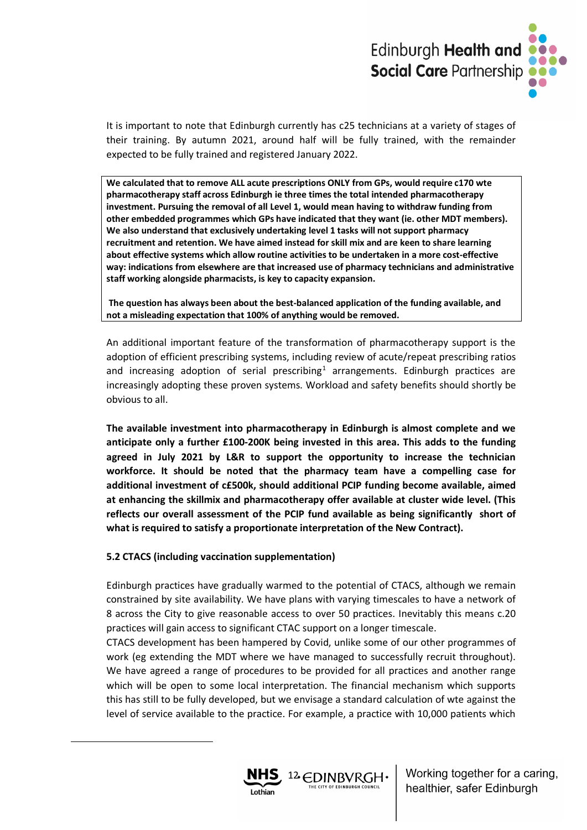

It is important to note that Edinburgh currently has c25 technicians at a variety of stages of their training. By autumn 2021, around half will be fully trained, with the remainder expected to be fully trained and registered January 2022.

**We calculated that to remove ALL acute prescriptions ONLY from GPs, would require c170 wte pharmacotherapy staff across Edinburgh ie three times the total intended pharmacotherapy investment. Pursuing the removal of all Level 1, would mean having to withdraw funding from other embedded programmes which GPs have indicated that they want (ie. other MDT members). We also understand that exclusively undertaking level 1 tasks will not support pharmacy recruitment and retention. We have aimed instead for skill mix and are keen to share learning about effective systems which allow routine activities to be undertaken in a more cost-effective way: indications from elsewhere are that increased use of pharmacy technicians and administrative staff working alongside pharmacists, is key to capacity expansion.** 

**The question has always been about the best-balanced application of the funding available, and not a misleading expectation that 100% of anything would be removed.**

An additional important feature of the transformation of pharmacotherapy support is the adoption of efficient prescribing systems, including review of acute/repeat prescribing ratios and increasing adoption of serial prescribing<sup>[1](#page-18-0)</sup> arrangements. Edinburgh practices are increasingly adopting these proven systems. Workload and safety benefits should shortly be obvious to all.

**The available investment into pharmacotherapy in Edinburgh is almost complete and we anticipate only a further £100-200K being invested in this area. This adds to the funding agreed in July 2021 by L&R to support the opportunity to increase the technician workforce. It should be noted that the pharmacy team have a compelling case for additional investment of c£500k, should additional PCIP funding become available, aimed at enhancing the skillmix and pharmacotherapy offer available at cluster wide level. (This reflects our overall assessment of the PCIP fund available as being significantly short of what is required to satisfy a proportionate interpretation of the New Contract).**

#### **5.2 CTACS (including vaccination supplementation)**

Edinburgh practices have gradually warmed to the potential of CTACS, although we remain constrained by site availability. We have plans with varying timescales to have a network of 8 across the City to give reasonable access to over 50 practices. Inevitably this means c.20 practices will gain access to significant CTAC support on a longer timescale.

<span id="page-18-0"></span>CTACS development has been hampered by Covid, unlike some of our other programmes of work (eg extending the MDT where we have managed to successfully recruit throughout). We have agreed a range of procedures to be provided for all practices and another range which will be open to some local interpretation. The financial mechanism which supports this has still to be fully developed, but we envisage a standard calculation of wte against the level of service available to the practice. For example, a practice with 10,000 patients which

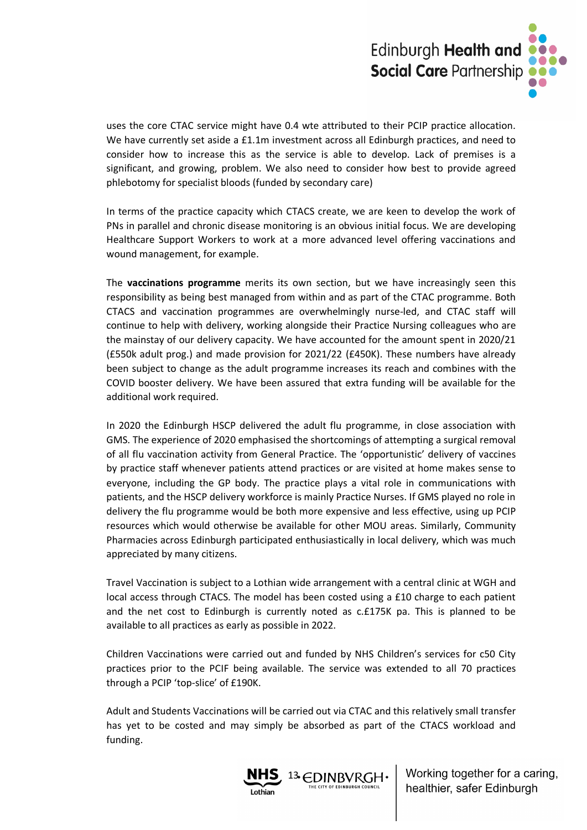

uses the core CTAC service might have 0.4 wte attributed to their PCIP practice allocation. We have currently set aside a £1.1m investment across all Edinburgh practices, and need to consider how to increase this as the service is able to develop. Lack of premises is a significant, and growing, problem. We also need to consider how best to provide agreed phlebotomy for specialist bloods (funded by secondary care)

In terms of the practice capacity which CTACS create, we are keen to develop the work of PNs in parallel and chronic disease monitoring is an obvious initial focus. We are developing Healthcare Support Workers to work at a more advanced level offering vaccinations and wound management, for example.

The **vaccinations programme** merits its own section, but we have increasingly seen this responsibility as being best managed from within and as part of the CTAC programme. Both CTACS and vaccination programmes are overwhelmingly nurse-led, and CTAC staff will continue to help with delivery, working alongside their Practice Nursing colleagues who are the mainstay of our delivery capacity. We have accounted for the amount spent in 2020/21 (£550k adult prog.) and made provision for 2021/22 (£450K). These numbers have already been subject to change as the adult programme increases its reach and combines with the COVID booster delivery. We have been assured that extra funding will be available for the additional work required.

In 2020 the Edinburgh HSCP delivered the adult flu programme, in close association with GMS. The experience of 2020 emphasised the shortcomings of attempting a surgical removal of all flu vaccination activity from General Practice. The 'opportunistic' delivery of vaccines by practice staff whenever patients attend practices or are visited at home makes sense to everyone, including the GP body. The practice plays a vital role in communications with patients, and the HSCP delivery workforce is mainly Practice Nurses. If GMS played no role in delivery the flu programme would be both more expensive and less effective, using up PCIP resources which would otherwise be available for other MOU areas. Similarly, Community Pharmacies across Edinburgh participated enthusiastically in local delivery, which was much appreciated by many citizens.

Travel Vaccination is subject to a Lothian wide arrangement with a central clinic at WGH and local access through CTACS. The model has been costed using a £10 charge to each patient and the net cost to Edinburgh is currently noted as c.£175K pa. This is planned to be available to all practices as early as possible in 2022.

Children Vaccinations were carried out and funded by NHS Children's services for c50 City practices prior to the PCIF being available. The service was extended to all 70 practices through a PCIP 'top-slice' of £190K.

Adult and Students Vaccinations will be carried out via CTAC and this relatively small transfer has yet to be costed and may simply be absorbed as part of the CTACS workload and funding.

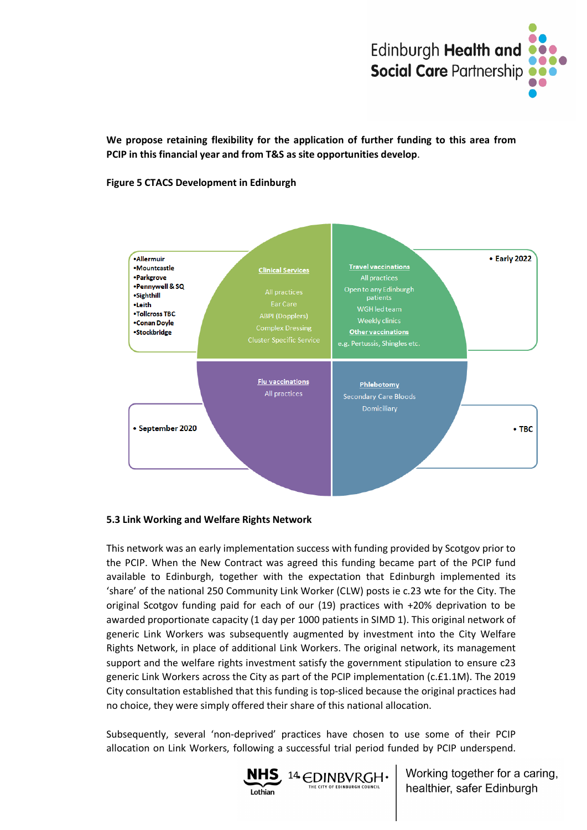

**We propose retaining flexibility for the application of further funding to this area from PCIP in this financial year and from T&S as site opportunities develop**.

**Figure 5 CTACS Development in Edinburgh**



#### **5.3 Link Working and Welfare Rights Network**

This network was an early implementation success with funding provided by Scotgov prior to the PCIP. When the New Contract was agreed this funding became part of the PCIP fund available to Edinburgh, together with the expectation that Edinburgh implemented its 'share' of the national 250 Community Link Worker (CLW) posts ie c.23 wte for the City. The original Scotgov funding paid for each of our (19) practices with +20% deprivation to be awarded proportionate capacity (1 day per 1000 patients in SIMD 1). This original network of generic Link Workers was subsequently augmented by investment into the City Welfare Rights Network, in place of additional Link Workers. The original network, its management support and the welfare rights investment satisfy the government stipulation to ensure c23 generic Link Workers across the City as part of the PCIP implementation (c.£1.1M). The 2019 City consultation established that this funding is top-sliced because the original practices had no choice, they were simply offered their share of this national allocation.

Subsequently, several 'non-deprived' practices have chosen to use some of their PCIP allocation on Link Workers, following a successful trial period funded by PCIP underspend.

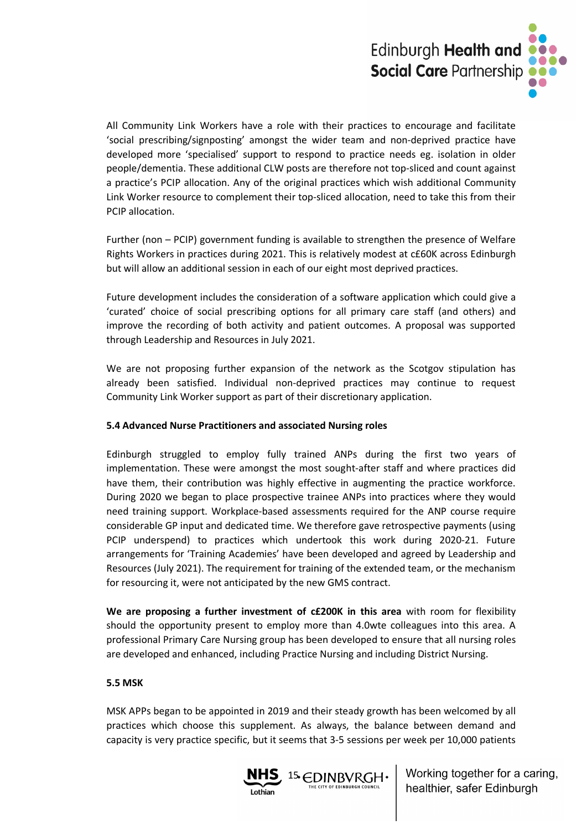

All Community Link Workers have a role with their practices to encourage and facilitate 'social prescribing/signposting' amongst the wider team and non-deprived practice have developed more 'specialised' support to respond to practice needs eg. isolation in older people/dementia. These additional CLW posts are therefore not top-sliced and count against a practice's PCIP allocation. Any of the original practices which wish additional Community Link Worker resource to complement their top-sliced allocation, need to take this from their PCIP allocation.

Further (non – PCIP) government funding is available to strengthen the presence of Welfare Rights Workers in practices during 2021. This is relatively modest at c£60K across Edinburgh but will allow an additional session in each of our eight most deprived practices.

Future development includes the consideration of a software application which could give a 'curated' choice of social prescribing options for all primary care staff (and others) and improve the recording of both activity and patient outcomes. A proposal was supported through Leadership and Resources in July 2021.

We are not proposing further expansion of the network as the Scotgov stipulation has already been satisfied. Individual non-deprived practices may continue to request Community Link Worker support as part of their discretionary application.

#### **5.4 Advanced Nurse Practitioners and associated Nursing roles**

Edinburgh struggled to employ fully trained ANPs during the first two years of implementation. These were amongst the most sought-after staff and where practices did have them, their contribution was highly effective in augmenting the practice workforce. During 2020 we began to place prospective trainee ANPs into practices where they would need training support. Workplace-based assessments required for the ANP course require considerable GP input and dedicated time. We therefore gave retrospective payments (using PCIP underspend) to practices which undertook this work during 2020-21. Future arrangements for 'Training Academies' have been developed and agreed by Leadership and Resources (July 2021). The requirement for training of the extended team, or the mechanism for resourcing it, were not anticipated by the new GMS contract.

**We are proposing a further investment of c£200K in this area** with room for flexibility should the opportunity present to employ more than 4.0wte colleagues into this area. A professional Primary Care Nursing group has been developed to ensure that all nursing roles are developed and enhanced, including Practice Nursing and including District Nursing.

#### **5.5 MSK**

MSK APPs began to be appointed in 2019 and their steady growth has been welcomed by all practices which choose this supplement. As always, the balance between demand and capacity is very practice specific, but it seems that 3-5 sessions per week per 10,000 patients

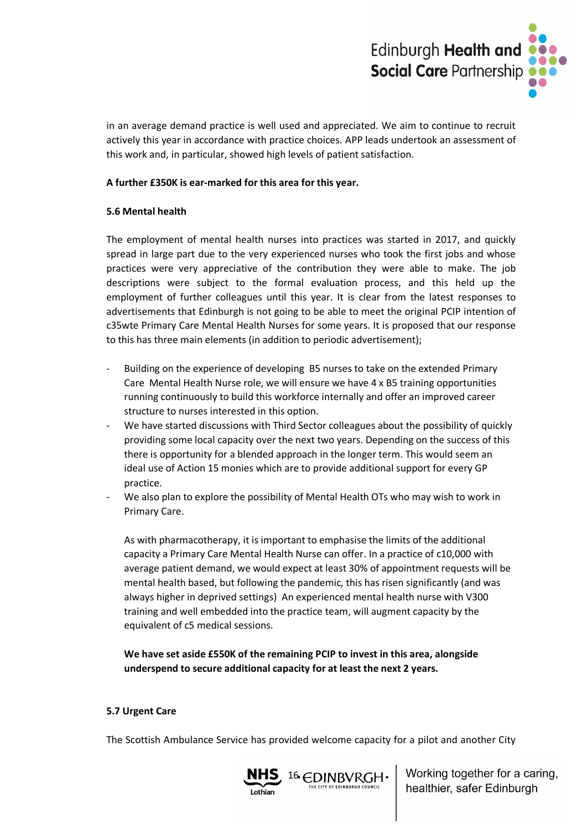

in an average demand practice is well used and appreciated. We aim to continue to recruit actively this year in accordance with practice choices. APP leads undertook an assessment of this work and, in particular, showed high levels of patient satisfaction.

#### **A further £350K is ear-marked for this area for this year.**

#### **5.6 Mental health**

The employment of mental health nurses into practices was started in 2017, and quickly spread in large part due to the very experienced nurses who took the first jobs and whose practices were very appreciative of the contribution they were able to make. The job descriptions were subject to the formal evaluation process, and this held up the employment of further colleagues until this year. It is clear from the latest responses to advertisements that Edinburgh is not going to be able to meet the original PCIP intention of c35wte Primary Care Mental Health Nurses for some years. It is proposed that our response to this has three main elements (in addition to periodic advertisement);

- Building on the experience of developing B5 nurses to take on the extended Primary Care Mental Health Nurse role, we will ensure we have 4 x B5 training opportunities running continuously to build this workforce internally and offer an improved career structure to nurses interested in this option.
- We have started discussions with Third Sector colleagues about the possibility of quickly providing some local capacity over the next two years. Depending on the success of this there is opportunity for a blended approach in the longer term. This would seem an ideal use of Action 15 monies which are to provide additional support for every GP practice.
- We also plan to explore the possibility of Mental Health OTs who may wish to work in Primary Care.

As with pharmacotherapy, it is important to emphasise the limits of the additional capacity a Primary Care Mental Health Nurse can offer. In a practice of c10,000 with average patient demand, we would expect at least 30% of appointment requests will be mental health based, but following the pandemic, this has risen significantly (and was always higher in deprived settings) An experienced mental health nurse with V300 training and well embedded into the practice team, will augment capacity by the equivalent of c5 medical sessions.

**We have set aside £550K of the remaining PCIP to invest in this area, alongside underspend to secure additional capacity for at least the next 2 years.**

### **5.7 Urgent Care**

The Scottish Ambulance Service has provided welcome capacity for a pilot and another City

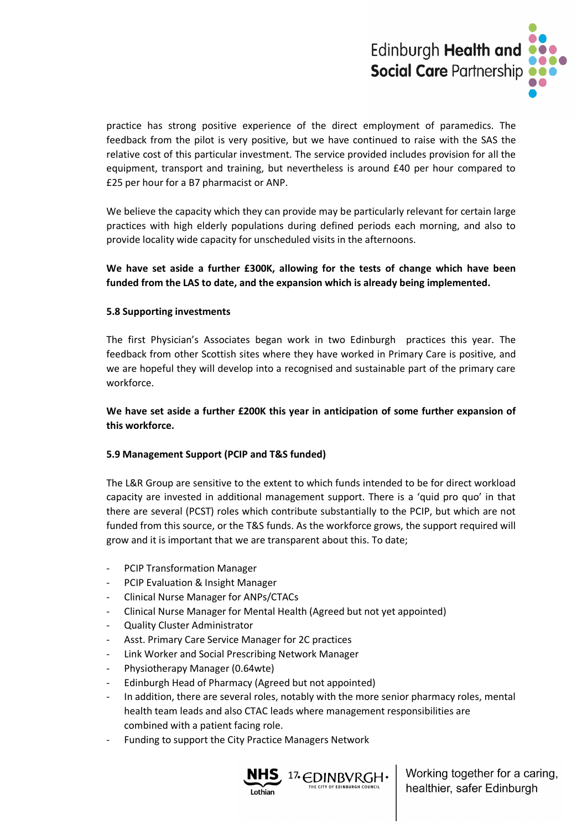

practice has strong positive experience of the direct employment of paramedics. The feedback from the pilot is very positive, but we have continued to raise with the SAS the relative cost of this particular investment. The service provided includes provision for all the equipment, transport and training, but nevertheless is around £40 per hour compared to £25 per hour for a B7 pharmacist or ANP.

We believe the capacity which they can provide may be particularly relevant for certain large practices with high elderly populations during defined periods each morning, and also to provide locality wide capacity for unscheduled visits in the afternoons.

### **We have set aside a further £300K, allowing for the tests of change which have been funded from the LAS to date, and the expansion which is already being implemented.**

#### **5.8 Supporting investments**

The first Physician's Associates began work in two Edinburgh practices this year. The feedback from other Scottish sites where they have worked in Primary Care is positive, and we are hopeful they will develop into a recognised and sustainable part of the primary care workforce.

### **We have set aside a further £200K this year in anticipation of some further expansion of this workforce.**

### **5.9 Management Support (PCIP and T&S funded)**

The L&R Group are sensitive to the extent to which funds intended to be for direct workload capacity are invested in additional management support. There is a 'quid pro quo' in that there are several (PCST) roles which contribute substantially to the PCIP, but which are not funded from this source, or the T&S funds. As the workforce grows, the support required will grow and it is important that we are transparent about this. To date;

- PCIP Transformation Manager
- PCIP Evaluation & Insight Manager
- Clinical Nurse Manager for ANPs/CTACs
- Clinical Nurse Manager for Mental Health (Agreed but not yet appointed)
- Quality Cluster Administrator
- Asst. Primary Care Service Manager for 2C practices
- Link Worker and Social Prescribing Network Manager
- Physiotherapy Manager (0.64wte)
- Edinburgh Head of Pharmacy (Agreed but not appointed)
- In addition, there are several roles, notably with the more senior pharmacy roles, mental health team leads and also CTAC leads where management responsibilities are combined with a patient facing role.
- Funding to support the City Practice Managers Network

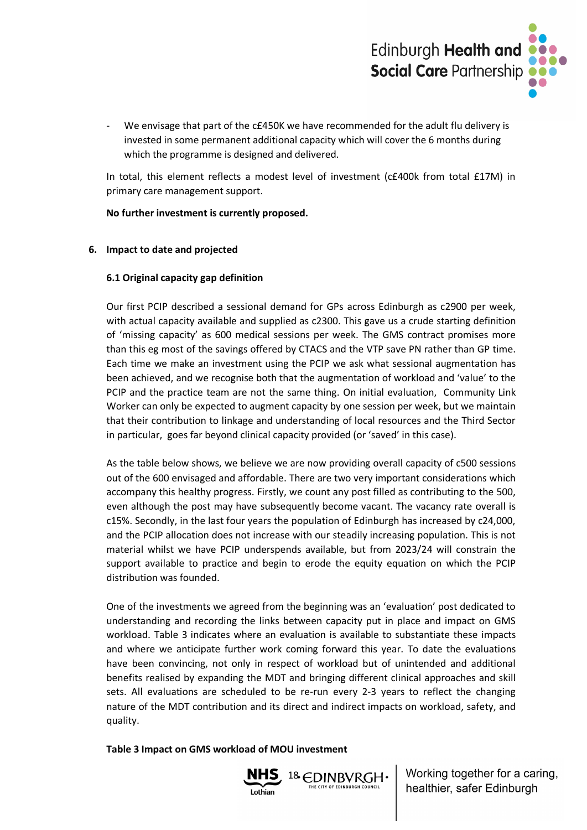

We envisage that part of the c£450K we have recommended for the adult flu delivery is invested in some permanent additional capacity which will cover the 6 months during which the programme is designed and delivered.

In total, this element reflects a modest level of investment (c£400k from total £17M) in primary care management support.

**No further investment is currently proposed.**

### **6. Impact to date and projected**

#### **6.1 Original capacity gap definition**

Our first PCIP described a sessional demand for GPs across Edinburgh as c2900 per week, with actual capacity available and supplied as c2300. This gave us a crude starting definition of 'missing capacity' as 600 medical sessions per week. The GMS contract promises more than this eg most of the savings offered by CTACS and the VTP save PN rather than GP time. Each time we make an investment using the PCIP we ask what sessional augmentation has been achieved, and we recognise both that the augmentation of workload and 'value' to the PCIP and the practice team are not the same thing. On initial evaluation, Community Link Worker can only be expected to augment capacity by one session per week, but we maintain that their contribution to linkage and understanding of local resources and the Third Sector in particular, goes far beyond clinical capacity provided (or 'saved' in this case).

As the table below shows, we believe we are now providing overall capacity of c500 sessions out of the 600 envisaged and affordable. There are two very important considerations which accompany this healthy progress. Firstly, we count any post filled as contributing to the 500, even although the post may have subsequently become vacant. The vacancy rate overall is c15%. Secondly, in the last four years the population of Edinburgh has increased by c24,000, and the PCIP allocation does not increase with our steadily increasing population. This is not material whilst we have PCIP underspends available, but from 2023/24 will constrain the support available to practice and begin to erode the equity equation on which the PCIP distribution was founded.

One of the investments we agreed from the beginning was an 'evaluation' post dedicated to understanding and recording the links between capacity put in place and impact on GMS workload. Table 3 indicates where an evaluation is available to substantiate these impacts and where we anticipate further work coming forward this year. To date the evaluations have been convincing, not only in respect of workload but of unintended and additional benefits realised by expanding the MDT and bringing different clinical approaches and skill sets. All evaluations are scheduled to be re-run every 2-3 years to reflect the changing nature of the MDT contribution and its direct and indirect impacts on workload, safety, and quality.

### **Table 3 Impact on GMS workload of MOU investment**

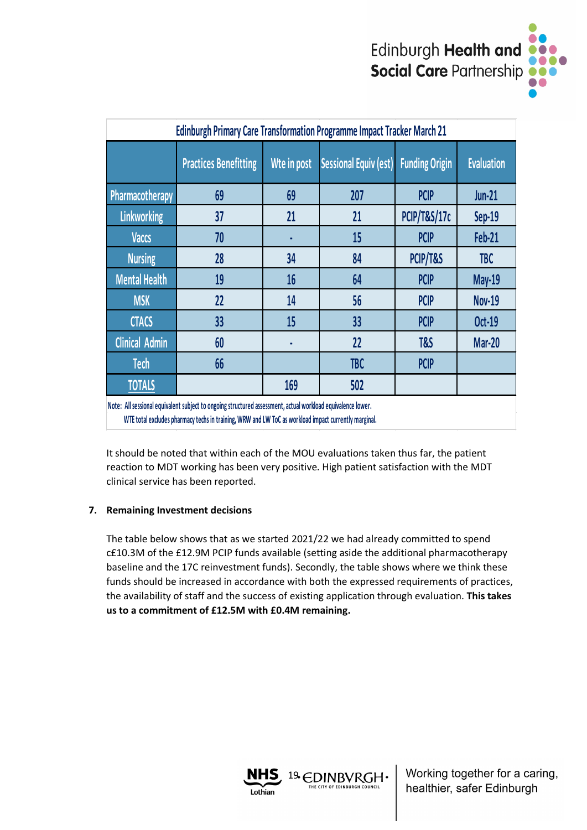

| Edinburgh Primary Care Transformation Programme Impact Tracker March 21                                     |                              |             |                       |                         |                   |  |
|-------------------------------------------------------------------------------------------------------------|------------------------------|-------------|-----------------------|-------------------------|-------------------|--|
|                                                                                                             | <b>Practices Benefitting</b> | Wte in post | Sessional Equiv (est) | <b>Funding Origin</b>   | <b>Evaluation</b> |  |
| Pharmacotherapy                                                                                             | 69                           | 69          | 207                   | <b>PCIP</b>             | <b>Jun-21</b>     |  |
| <b>Linkworking</b>                                                                                          | 37                           | 21          | 21                    | <b>PCIP/T&amp;S/17c</b> | Sep-19            |  |
| <b>Vaccs</b>                                                                                                | 70                           | ٠           | 15                    | <b>PCIP</b>             | Feb-21            |  |
| <b>Nursing</b>                                                                                              | 28                           | 34          | 84                    | PCIP/T&S                | <b>TBC</b>        |  |
| <b>Mental Health</b>                                                                                        | 19                           | 16          | 64                    | <b>PCIP</b>             | <b>May-19</b>     |  |
| <b>MSK</b>                                                                                                  | 22                           | 14          | 56                    | <b>PCIP</b>             | <b>Nov-19</b>     |  |
| <b>CTACS</b>                                                                                                | 33                           | 15          | 33                    | <b>PCIP</b>             | <b>Oct-19</b>     |  |
| <b>Clinical Admin</b>                                                                                       | 60                           |             | 22                    | T&S                     | <b>Mar-20</b>     |  |
| <b>Tech</b>                                                                                                 | 66                           |             | <b>TBC</b>            | <b>PCIP</b>             |                   |  |
| <b>TOTALS</b>                                                                                               |                              | 169         | 502                   |                         |                   |  |
| Note: All sessional equivalent subject to ongoing structured assessment, actual workload equivalence lower. |                              |             |                       |                         |                   |  |

 **WTE total excludes pharmacy techs in training, WRW and LW ToC as workload impact currently marginal.**

It should be noted that within each of the MOU evaluations taken thus far, the patient reaction to MDT working has been very positive. High patient satisfaction with the MDT clinical service has been reported.

### **7. Remaining Investment decisions**

The table below shows that as we started 2021/22 we had already committed to spend c£10.3M of the £12.9M PCIP funds available (setting aside the additional pharmacotherapy baseline and the 17C reinvestment funds). Secondly, the table shows where we think these funds should be increased in accordance with both the expressed requirements of practices, the availability of staff and the success of existing application through evaluation. **This takes us to a commitment of £12.5M with £0.4M remaining.**

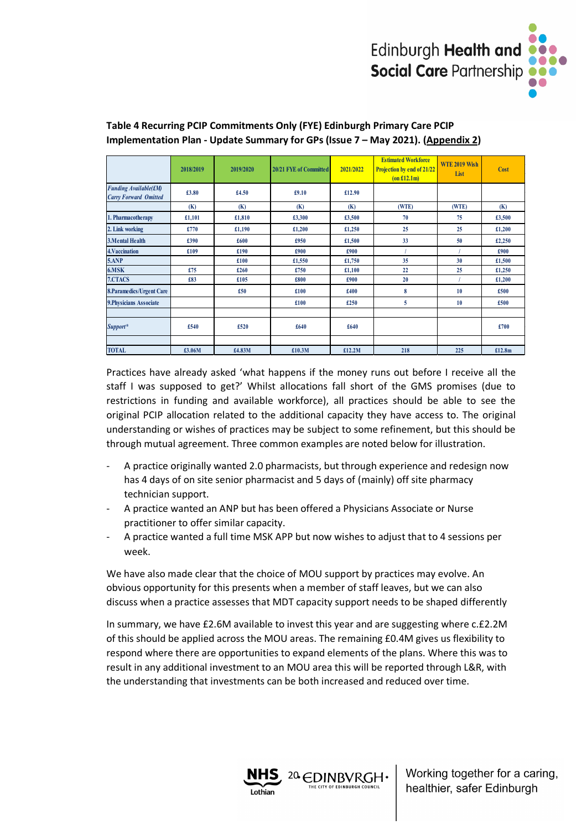

|                                                              | 2018/2019 | 2019/2020 | 20/21 FYE of Committed | 2021/2022 | <b>Estimated Workforce</b><br>Projection by end of 21/22<br>(on £12.1m) | <b>WTE 2019 Wish</b><br>List | Cost   |
|--------------------------------------------------------------|-----------|-----------|------------------------|-----------|-------------------------------------------------------------------------|------------------------------|--------|
| <b>Funding Available(£M)</b><br><b>Carry Forward Omitted</b> | £3.80     | £4.50     | £9.10                  | £12.90    |                                                                         |                              |        |
|                                                              | (K)       | (K)       | (K)                    | (K)       | (WTE)                                                                   | (WTE)                        | (K)    |
| 1. Pharmacotherapy                                           | £1,101    | £1,810    | £3,300                 | £3,500    | 70                                                                      | 75                           | £3,500 |
| 2. Link working                                              | £770      | £1,190    | £1,200                 | £1,250    | 25                                                                      | 25                           | £1,200 |
| <b>3.Mental Health</b>                                       | £390      | £600      | £950                   | £1,500    | 33                                                                      | 50                           | £2,250 |
| 4. Vaccination                                               | £109      | £190      | £900                   | £900      |                                                                         |                              | £900   |
| 5.ANP                                                        |           | £100      | £1,550                 | £1,750    | 35                                                                      | 30                           | £1,500 |
| 6.MSK                                                        | £75       | £260      | £750                   | £1,100    | 22                                                                      | 25                           | £1,250 |
| 7.CTACS                                                      | £83       | £105      | £800                   | £900      | 20                                                                      |                              | £1,200 |
| 8. Paramedics/Urgent Care                                    |           | £50       | £100                   | £400      | 8                                                                       | 10                           | £500   |
| 9. Physicians Associate                                      |           |           | £100                   | £250      | 5                                                                       | 10                           | £500   |
|                                                              |           |           |                        |           |                                                                         |                              |        |
| Support*                                                     | £540      | £520      | £640                   | £640      |                                                                         |                              | £700   |
|                                                              |           |           |                        |           |                                                                         |                              |        |
| <b>TOTAL</b>                                                 | £3.06M    | £4.83M    | £10.3M                 | £12.2M    | 218                                                                     | 225                          | £12.8m |

### **Table 4 Recurring PCIP Commitments Only (FYE) Edinburgh Primary Care PCIP Implementation Plan - Update Summary for GPs (Issue 7 – May 2021). (Appendix 2)**

Practices have already asked 'what happens if the money runs out before I receive all the staff I was supposed to get?' Whilst allocations fall short of the GMS promises (due to restrictions in funding and available workforce), all practices should be able to see the original PCIP allocation related to the additional capacity they have access to. The original understanding or wishes of practices may be subject to some refinement, but this should be through mutual agreement. Three common examples are noted below for illustration.

- A practice originally wanted 2.0 pharmacists, but through experience and redesign now has 4 days of on site senior pharmacist and 5 days of (mainly) off site pharmacy technician support.
- A practice wanted an ANP but has been offered a Physicians Associate or Nurse practitioner to offer similar capacity.
- A practice wanted a full time MSK APP but now wishes to adjust that to 4 sessions per week.

We have also made clear that the choice of MOU support by practices may evolve. An obvious opportunity for this presents when a member of staff leaves, but we can also discuss when a practice assesses that MDT capacity support needs to be shaped differently

In summary, we have £2.6M available to invest this year and are suggesting where c.£2.2M of this should be applied across the MOU areas. The remaining £0.4M gives us flexibility to respond where there are opportunities to expand elements of the plans. Where this was to result in any additional investment to an MOU area this will be reported through L&R, with the understanding that investments can be both increased and reduced over time.

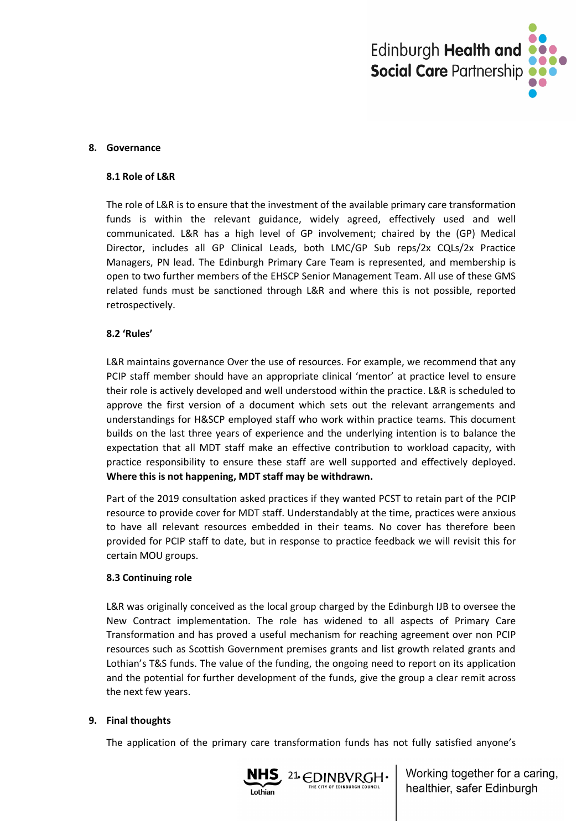

#### **8. Governance**

#### **8.1 Role of L&R**

The role of L&R is to ensure that the investment of the available primary care transformation funds is within the relevant guidance, widely agreed, effectively used and well communicated. L&R has a high level of GP involvement; chaired by the (GP) Medical Director, includes all GP Clinical Leads, both LMC/GP Sub reps/2x CQLs/2x Practice Managers, PN lead. The Edinburgh Primary Care Team is represented, and membership is open to two further members of the EHSCP Senior Management Team. All use of these GMS related funds must be sanctioned through L&R and where this is not possible, reported retrospectively.

#### **8.2 'Rules'**

L&R maintains governance Over the use of resources. For example, we recommend that any PCIP staff member should have an appropriate clinical 'mentor' at practice level to ensure their role is actively developed and well understood within the practice. L&R is scheduled to approve the first version of a document which sets out the relevant arrangements and understandings for H&SCP employed staff who work within practice teams. This document builds on the last three years of experience and the underlying intention is to balance the expectation that all MDT staff make an effective contribution to workload capacity, with practice responsibility to ensure these staff are well supported and effectively deployed. **Where this is not happening, MDT staff may be withdrawn.**

Part of the 2019 consultation asked practices if they wanted PCST to retain part of the PCIP resource to provide cover for MDT staff. Understandably at the time, practices were anxious to have all relevant resources embedded in their teams. No cover has therefore been provided for PCIP staff to date, but in response to practice feedback we will revisit this for certain MOU groups.

#### **8.3 Continuing role**

L&R was originally conceived as the local group charged by the Edinburgh IJB to oversee the New Contract implementation. The role has widened to all aspects of Primary Care Transformation and has proved a useful mechanism for reaching agreement over non PCIP resources such as Scottish Government premises grants and list growth related grants and Lothian's T&S funds. The value of the funding, the ongoing need to report on its application and the potential for further development of the funds, give the group a clear remit across the next few years.

#### **9. Final thoughts**

The application of the primary care transformation funds has not fully satisfied anyone's

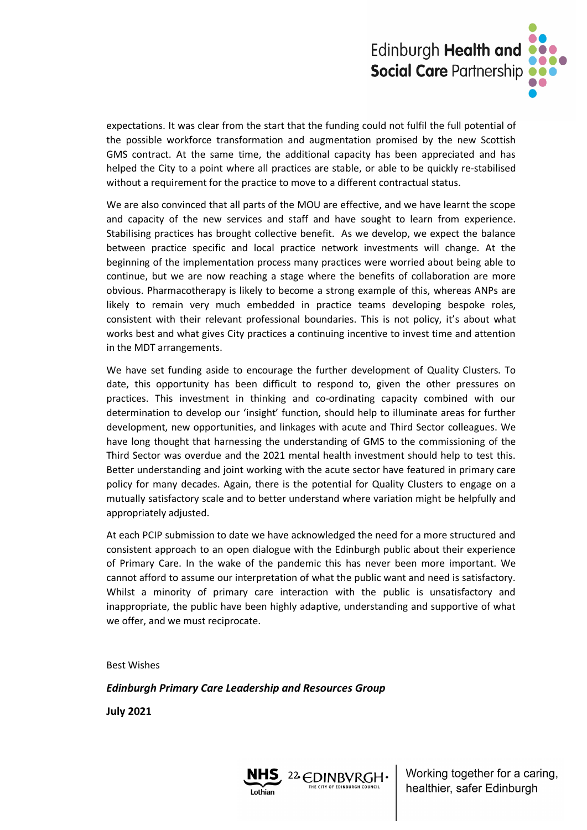

expectations. It was clear from the start that the funding could not fulfil the full potential of the possible workforce transformation and augmentation promised by the new Scottish GMS contract. At the same time, the additional capacity has been appreciated and has helped the City to a point where all practices are stable, or able to be quickly re-stabilised without a requirement for the practice to move to a different contractual status.

We are also convinced that all parts of the MOU are effective, and we have learnt the scope and capacity of the new services and staff and have sought to learn from experience. Stabilising practices has brought collective benefit. As we develop, we expect the balance between practice specific and local practice network investments will change. At the beginning of the implementation process many practices were worried about being able to continue, but we are now reaching a stage where the benefits of collaboration are more obvious. Pharmacotherapy is likely to become a strong example of this, whereas ANPs are likely to remain very much embedded in practice teams developing bespoke roles, consistent with their relevant professional boundaries. This is not policy, it's about what works best and what gives City practices a continuing incentive to invest time and attention in the MDT arrangements.

We have set funding aside to encourage the further development of Quality Clusters. To date, this opportunity has been difficult to respond to, given the other pressures on practices. This investment in thinking and co-ordinating capacity combined with our determination to develop our 'insight' function, should help to illuminate areas for further development, new opportunities, and linkages with acute and Third Sector colleagues. We have long thought that harnessing the understanding of GMS to the commissioning of the Third Sector was overdue and the 2021 mental health investment should help to test this. Better understanding and joint working with the acute sector have featured in primary care policy for many decades. Again, there is the potential for Quality Clusters to engage on a mutually satisfactory scale and to better understand where variation might be helpfully and appropriately adjusted.

At each PCIP submission to date we have acknowledged the need for a more structured and consistent approach to an open dialogue with the Edinburgh public about their experience of Primary Care. In the wake of the pandemic this has never been more important. We cannot afford to assume our interpretation of what the public want and need is satisfactory. Whilst a minority of primary care interaction with the public is unsatisfactory and inappropriate, the public have been highly adaptive, understanding and supportive of what we offer, and we must reciprocate.

Best Wishes

*Edinburgh Primary Care Leadership and Resources Group*

**July 2021**